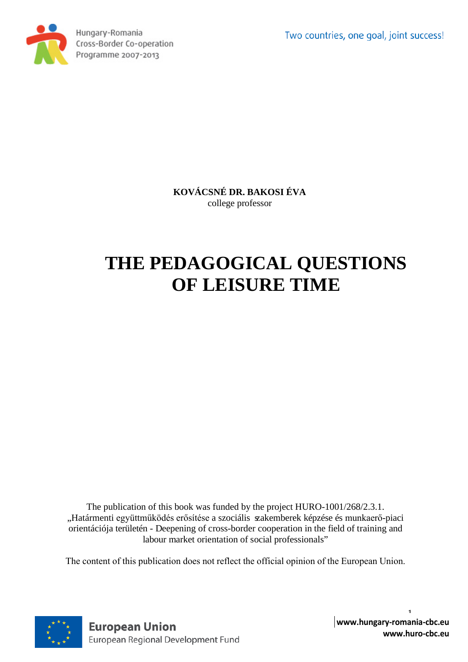Two countries, one goal, joint success!



Hungary-Romania Cross-Border Co-operation Programme 2007-2013

> **KOVÁCSNÉ DR. BAKOSI ÉVA** college professor

# **THE PEDAGOGICAL QUESTIONS OF LEISURE TIME**

The publication of this book was funded by the project HURO-1001/268/2.3.1. "Határmenti együttműködés erősítése a szociális szakemberek képzése és munkaerő-piaci orientációja területén - Deepening of cross-border cooperation in the field of training and labour market orientation of social professionals"

The content of this publication does not reflect the official opinion of the European Union.

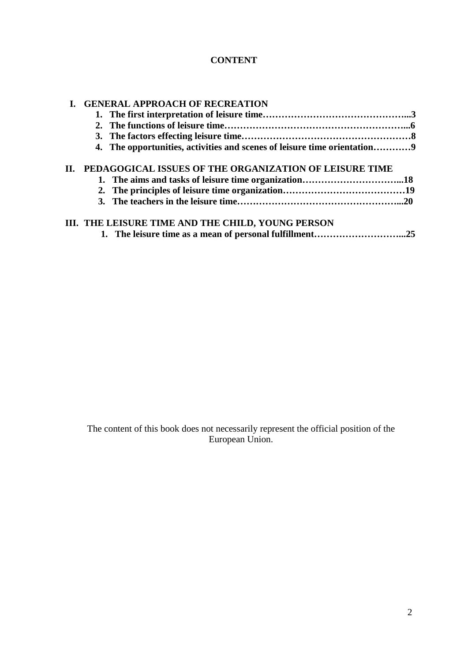# **CONTENT**

|     | <b>GENERAL APPROACH OF RECREATION</b>                                    |  |  |
|-----|--------------------------------------------------------------------------|--|--|
|     |                                                                          |  |  |
|     |                                                                          |  |  |
|     |                                                                          |  |  |
|     | 4. The opportunities, activities and scenes of leisure time orientation9 |  |  |
| II. | PEDAGOGICAL ISSUES OF THE ORGANIZATION OF LEISURE TIME                   |  |  |
|     |                                                                          |  |  |
|     |                                                                          |  |  |
|     |                                                                          |  |  |
|     | III. THE LEISURE TIME AND THE CHILD, YOUNG PERSON                        |  |  |
|     |                                                                          |  |  |

The content of this book does not necessarily represent the official position of the European Union.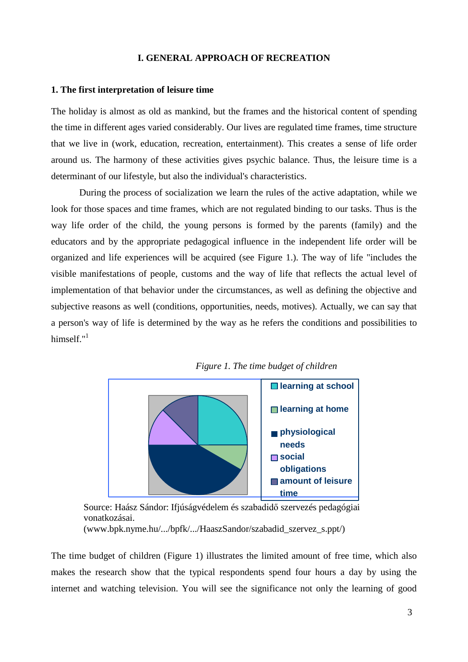## **I. GENERAL APPROACH OF RECREATION**

#### **1. The first interpretation of leisure time**

The holiday is almost as old as mankind, but the frames and the historical content of spending the time in different ages varied considerably. Our lives are regulated time frames, time structure that we live in (work, education, recreation, entertainment). This creates a sense of life order around us. The harmony of these activities gives psychic balance. Thus, the leisure time is a determinant of our lifestyle, but also the individual's characteristics.

During the process of socialization we learn the rules of the active adaptation, while we look for those spaces and time frames, which are not regulated binding to our tasks. Thus is the way life order of the child, the young persons is formed by the parents (family) and the educators and by the appropriate pedagogical influence in the independent life order will be organized and life experiences will be acquired (see Figure 1.). The way of life "includes the visible manifestations of people, customs and the way of life that reflects the actual level of implementation of that behavior under the circumstances, as well as defining the objective and subjective reasons as well (conditions, opportunities, needs, motives). Actually, we can say that a person's way of life is determined by the way as he refers the conditions and possibilities to himself."<sup>1</sup>





Source: Haász Sándor: Ifjúságvédelem és szabadidő szervezés pedagógiai vonatkozásai.

[\(www.bpk.nyme.hu/.../bpfk/.../HaaszSandor/szabadid\\_szervez\\_s.ppt/\)](http://www.bpk.nyme.hu/.../bpfk/.../HaaszSandor/szabadid_szervez_s.ppt/))

The time budget of children (Figure 1) illustrates the limited amount of free time, which also makes the research show that the typical respondents spend four hours a day by using the internet and watching television. You will see the significance not only the learning of good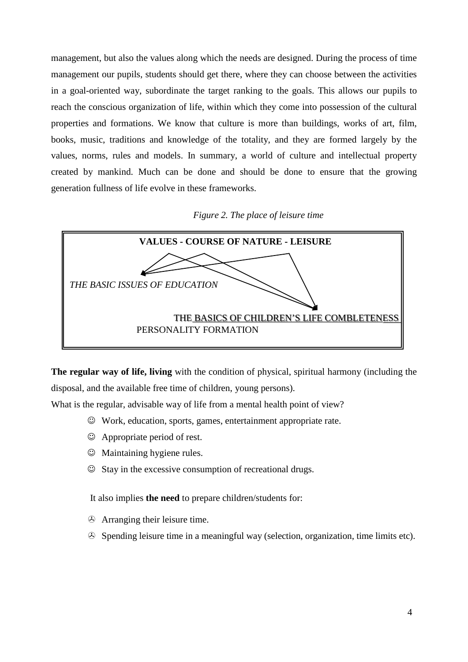management, but also the values along which the needs are designed. During the process of time management our pupils, students should get there, where they can choose between the activities in a goal-oriented way, subordinate the target ranking to the goals. This allows our pupils to reach the conscious organization of life, within which they come into possession of the cultural properties and formations. We know that culture is more than buildings, works of art, film, books, music, traditions and knowledge of the totality, and they are formed largely by the values, norms, rules and models. In summary, a world of culture and intellectual property created by mankind. Much can be done and should be done to ensure that the growing generation fullness of life evolve in these frameworks.

*Figure 2. The place of leisure time*



**The regular way of life, living** with the condition of physical, spiritual harmony (including the disposal, and the available free time of children, young persons).

What is the regular, advisable way of life from a mental health point of view?

- Work, education, sports, games, entertainment appropriate rate.
- Appropriate period of rest.
- $\odot$  Maintaining hygiene rules.
- $\odot$  Stay in the excessive consumption of recreational drugs.

It also implies **the need** to prepare children/students for:

- Arranging their leisure time.
- Spending leisure time in a meaningful way (selection, organization, time limits etc).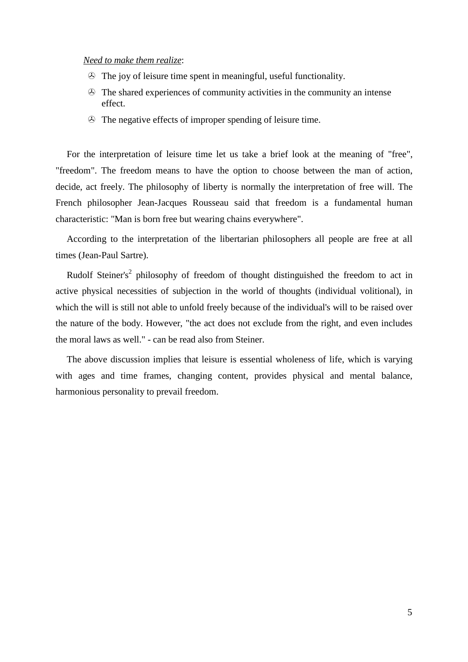#### *Need to make them realize*:

- $\odot$  The joy of leisure time spent in meaningful, useful functionality.
- $\odot$  The shared experiences of community activities in the community an intense effect.
- The negative effects of improper spending of leisure time.

For the interpretation of leisure time let us take a brief look at the meaning of "free", "freedom". The freedom means to have the option to choose between the man of action, decide, act freely. The philosophy of liberty is normally the interpretation of free will. The French philosopher Jean-Jacques Rousseau said that freedom is a fundamental human characteristic: "Man is born free but wearing chains everywhere".

According to the interpretation of the libertarian philosophers all people are free at all times (Jean-Paul Sartre).

Rudolf Steiner's<sup>2</sup> philosophy of freedom of thought distinguished the freedom to act in active physical necessities of subjection in the world of thoughts (individual volitional), in which the will is still not able to unfold freely because of the individual's will to be raised over the nature of the body. However, "the act does not exclude from the right, and even includes the moral laws as well." - can be read also from Steiner.

The above discussion implies that leisure is essential wholeness of life, which is varying with ages and time frames, changing content, provides physical and mental balance, harmonious personality to prevail freedom.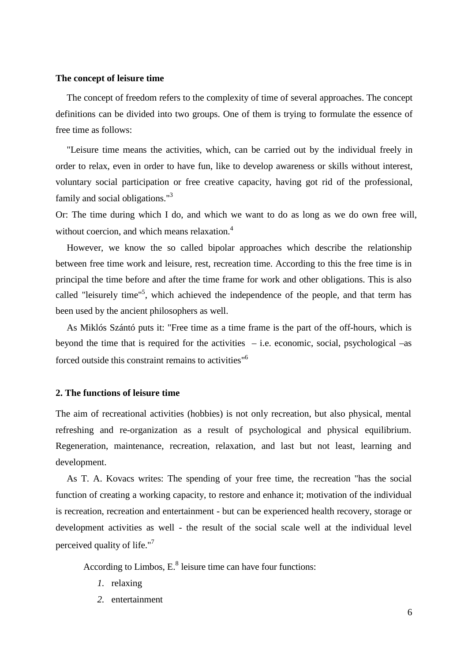#### **The concept of leisure time**

The concept of freedom refers to the complexity of time of several approaches. The concept definitions can be divided into two groups. One of them is trying to formulate the essence of free time as follows:

"Leisure time means the activities, which, can be carried out by the individual freely in order to relax, even in order to have fun, like to develop awareness or skills without interest, voluntary social participation or free creative capacity, having got rid of the professional, family and social obligations."<sup>3</sup>

Or: The time during which I do, and which we want to do as long as we do own free will, without coercion, and which means relaxation.<sup>4</sup>

However, we know the so called bipolar approaches which describe the relationship between free time work and leisure, rest, recreation time. According to this the free time is in principal the time before and after the time frame for work and other obligations. This is also called "leisurely time"<sup>5</sup>, which achieved the independence of the people, and that term has been used by the ancient philosophers as well.

As Miklós Szántó puts it: "Free time as a time frame is the part of the off-hours, which is beyond the time that is required for the activities  $-$  i.e. economic, social, psychological  $-$ as forced outside this constraint remains to activities"6

## **2. The functions of leisure time**

The aim of recreational activities (hobbies) is not only recreation, but also physical, mental refreshing and re-organization as a result of psychological and physical equilibrium. Regeneration, maintenance, recreation, relaxation, and last but not least, learning and development.

As T. A. Kovacs writes: The spending of your free time, the recreation "has the social function of creating a working capacity, to restore and enhance it; motivation of the individual is recreation, recreation and entertainment - but can be experienced health recovery, storage or development activities as well - the result of the social scale well at the individual level perceived quality of life."<sup>7</sup>

According to Limbos,  $E^8$  leisure time can have four functions:

- *1.* relaxing
- *2.* entertainment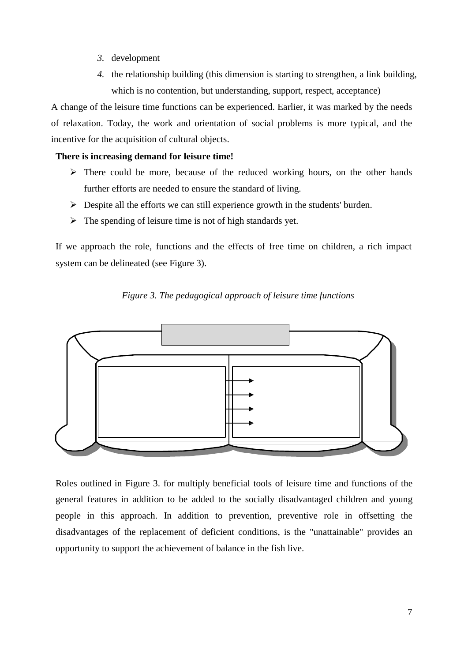- *3.* development
- *4.* the relationship building (this dimension is starting to strengthen, a link building, which is no contention, but understanding, support, respect, acceptance)

A change of the leisure time functions can be experienced. Earlier, it was marked by the needs of relaxation. Today, the work and orientation of social problems is more typical, and the incentive for the acquisition of cultural objects.

# **There is increasing demand for leisure time!**

- $\triangleright$  There could be more, because of the reduced working hours, on the other hands further efforts are needed to ensure the standard of living.
- $\triangleright$  Despite all the efforts we can still experience growth in the students' burden.
- $\triangleright$  The spending of leisure time is not of high standards yet.

If we approach the role, functions and the effects of free time on children, a rich impact system can be delineated (see Figure 3).





Roles outlined in Figure 3. for multiply beneficial tools of leisure time and functions of the general features in addition to be added to the socially disadvantaged children and young people in this approach. In addition to prevention, preventive role in offsetting the disadvantages of the replacement of deficient conditions, is the "unattainable" provides an opportunity to support the achievement of balance in the fish live.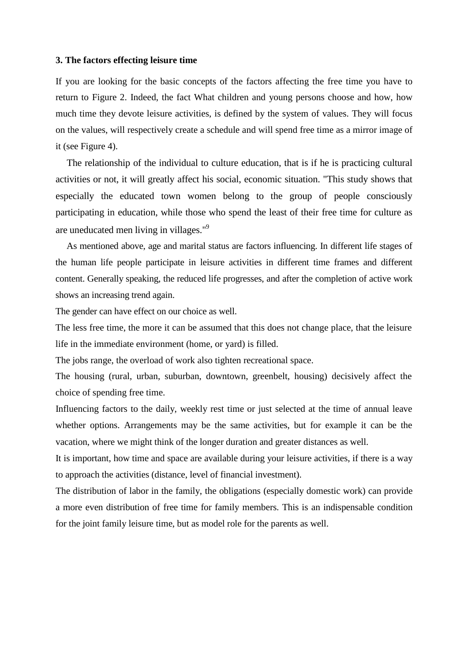#### **3. The factors effecting leisure time**

If you are looking for the basic concepts of the factors affecting the free time you have to return to Figure 2. Indeed, the fact What children and young persons choose and how, how much time they devote leisure activities, is defined by the system of values. They will focus on the values, will respectively create a schedule and will spend free time as a mirror image of it (see Figure 4).

The relationship of the individual to culture education, that is if he is practicing cultural activities or not, it will greatly affect his social, economic situation. "This study shows that especially the educated town women belong to the group of people consciously participating in education, while those who spend the least of their free time for culture as are uneducated men living in villages."9

As mentioned above, age and marital status are factors influencing. In different life stages of the human life people participate in leisure activities in different time frames and different content. Generally speaking, the reduced life progresses, and after the completion of active work shows an increasing trend again.

The gender can have effect on our choice as well.

The less free time, the more it can be assumed that this does not change place, that the leisure life in the immediate environment (home, or yard) is filled.

The jobs range, the overload of work also tighten recreational space.

The housing (rural, urban, suburban, downtown, greenbelt, housing) decisively affect the choice of spending free time.

Influencing factors to the daily, weekly rest time or just selected at the time of annual leave whether options. Arrangements may be the same activities, but for example it can be the vacation, where we might think of the longer duration and greater distances as well.

It is important, how time and space are available during your leisure activities, if there is a way to approach the activities (distance, level of financial investment).

The distribution of labor in the family, the obligations (especially domestic work) can provide a more even distribution of free time for family members. This is an indispensable condition for the joint family leisure time, but as model role for the parents as well.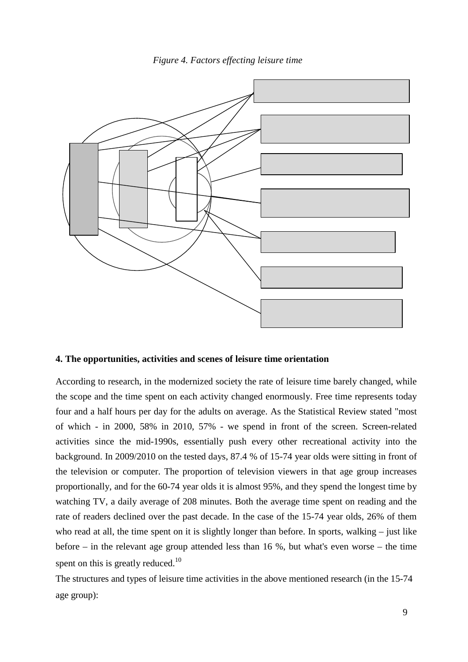



## **4. The opportunities, activities and scenes of leisure time orientation**

According to research, in the modernized society the rate of leisure time barely changed, while the scope and the time spent on each activity changed enormously. Free time represents today four and a half hours per day for the adults on average. As the Statistical Review stated "most of which - in 2000, 58% in 2010, 57% - we spend in front of the screen. Screen-related activities since the mid-1990s, essentially push every other recreational activity into the background. In 2009/2010 on the tested days, 87.4 % of 15-74 year olds were sitting in front of the television or computer. The proportion of television viewers in that age group increases proportionally, and for the 60-74 year olds it is almost 95%, and they spend the longest time by watching TV, a daily average of 208 minutes. Both the average time spent on reading and the rate of readers declined over the past decade. In the case of the 15-74 year olds, 26% of them who read at all, the time spent on it is slightly longer than before. In sports, walking – just like before – in the relevant age group attended less than 16 %, but what's even worse – the time spent on this is greatly reduced.<sup>10</sup>

The structures and types of leisure time activities in the above mentioned research (in the 15-74 age group):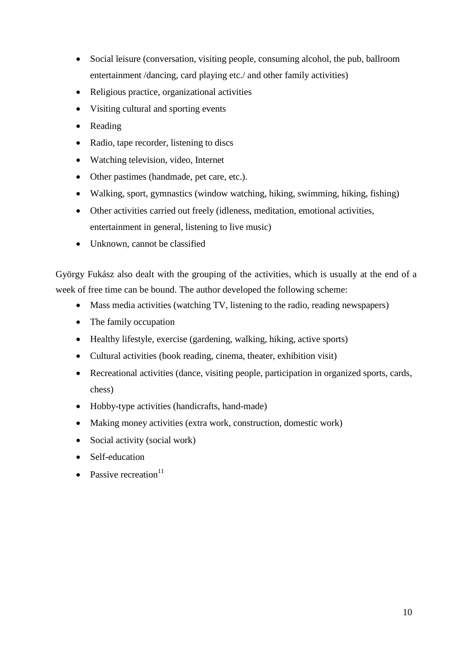- Social leisure (conversation, visiting people, consuming alcohol, the pub, ballroom entertainment /dancing, card playing etc./ and other family activities)
- Religious practice, organizational activities
- Visiting cultural and sporting events
- Reading
- Radio, tape recorder, listening to discs
- Watching television, video, Internet
- Other pastimes (handmade, pet care, etc.).
- Walking, sport, gymnastics (window watching, hiking, swimming, hiking, fishing)
- Other activities carried out freely (idleness, meditation, emotional activities, entertainment in general, listening to live music)
- Unknown, cannot be classified

György Fukász also dealt with the grouping of the activities, which is usually at the end of a week of free time can be bound. The author developed the following scheme:

- Mass media activities (watching TV, listening to the radio, reading newspapers)
- The family occupation
- Healthy lifestyle, exercise (gardening, walking, hiking, active sports)
- Cultural activities (book reading, cinema, theater, exhibition visit)
- Recreational activities (dance, visiting people, participation in organized sports, cards, chess)
- Hobby-type activities (handicrafts, hand-made)
- Making money activities (extra work, construction, domestic work)
- Social activity (social work)
- Self-education
- Passive recreation $11$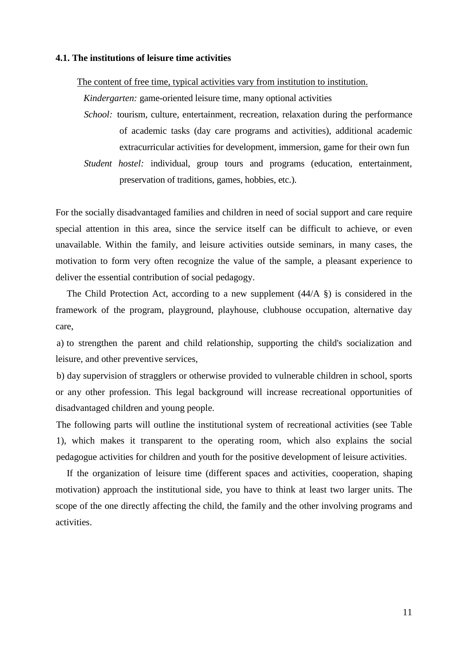## **4.1. The institutions of leisure time activities**

The content of free time, typical activities vary from institution to institution.

*Kindergarten:* game-oriented leisure time, many optional activities

- *School:* tourism, culture, entertainment, recreation, relaxation during the performance of academic tasks (day care programs and activities), additional academic extracurricular activities for development, immersion, game for their own fun
- *Student hostel:* individual, group tours and programs (education, entertainment, preservation of traditions, games, hobbies, etc.).

For the socially disadvantaged families and children in need of social support and care require special attention in this area, since the service itself can be difficult to achieve, or even unavailable. Within the family, and leisure activities outside seminars, in many cases, the motivation to form very often recognize the value of the sample, a pleasant experience to deliver the essential contribution of social pedagogy.

The Child Protection Act, according to a new supplement  $(44/A \tS)$  is considered in the framework of the program, playground, playhouse, clubhouse occupation, alternative day care,

a) to strengthen the parent and child relationship, supporting the child's socialization and leisure, and other preventive services,

b) day supervision of stragglers or otherwise provided to vulnerable children in school, sports or any other profession. This legal background will increase recreational opportunities of disadvantaged children and young people.

The following parts will outline the institutional system of recreational activities (see Table 1), which makes it transparent to the operating room, which also explains the social pedagogue activities for children and youth for the positive development of leisure activities.

If the organization of leisure time (different spaces and activities, cooperation, shaping motivation) approach the institutional side, you have to think at least two larger units. The scope of the one directly affecting the child, the family and the other involving programs and activities.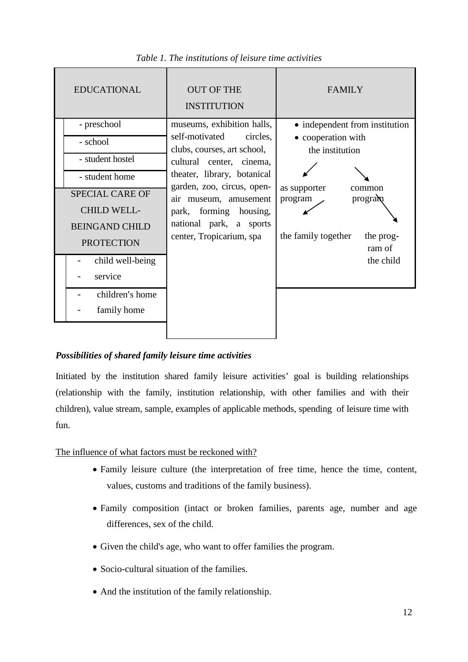| <b>EDUCATIONAL</b>                                                                                                                                                                                                           | <b>OUT OF THE</b><br><b>INSTITUTION</b>                                                                                                                                                                                                                                                    | <b>FAMILY</b>                                                                                                                                                                      |
|------------------------------------------------------------------------------------------------------------------------------------------------------------------------------------------------------------------------------|--------------------------------------------------------------------------------------------------------------------------------------------------------------------------------------------------------------------------------------------------------------------------------------------|------------------------------------------------------------------------------------------------------------------------------------------------------------------------------------|
| - preschool<br>- school<br>- student hostel<br>- student home<br><b>SPECIAL CARE OF</b><br><b>CHILD WELL-</b><br><b>BEINGAND CHILD</b><br><b>PROTECTION</b><br>child well-being<br>service<br>children's home<br>family home | museums, exhibition halls,<br>self-motivated<br>circles,<br>clubs, courses, art school,<br>cultural center, cinema,<br>theater, library, botanical<br>garden, zoo, circus, open-<br>air museum, amusement<br>park, forming housing,<br>national park, a sports<br>center, Tropicarium, spa | • independent from institution<br>• cooperation with<br>the institution<br>as supporter<br>common<br>program<br>program<br>the family together<br>the prog-<br>ram of<br>the child |

*Table 1. The institutions of leisure time activities*

# *Possibilities of shared family leisure time activities*

Initiated by the institution shared family leisure activities' goal is building relationships (relationship with the family, institution relationship, with other families and with their children), value stream, sample, examples of applicable methods, spending of leisure time with fun.

The influence of what factors must be reckoned with?

- Family leisure culture (the interpretation of free time, hence the time, content, values, customs and traditions of the family business).
- Family composition (intact or broken families, parents age, number and age differences, sex of the child.
- Given the child's age, who want to offer families the program.
- Socio-cultural situation of the families.
- And the institution of the family relationship.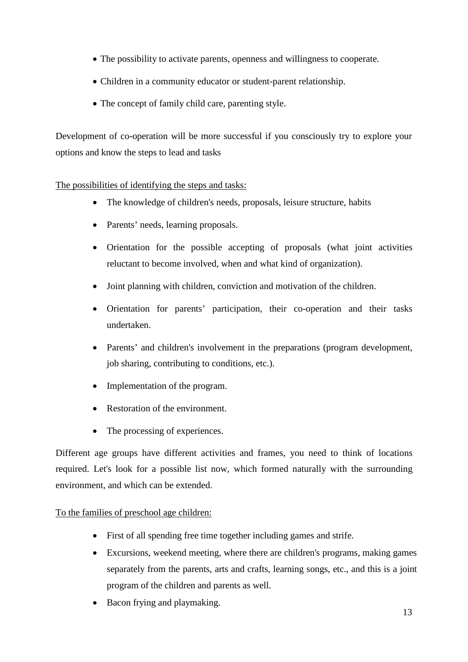- The possibility to activate parents, openness and willingness to cooperate.
- Children in a community educator or student-parent relationship.
- The concept of family child care, parenting style.

Development of co-operation will be more successful if you consciously try to explore your options and know the steps to lead and tasks

The possibilities of identifying the steps and tasks:

- The knowledge of children's needs, proposals, leisure structure, habits
- Parents' needs, learning proposals.
- Orientation for the possible accepting of proposals (what joint activities reluctant to become involved, when and what kind of organization).
- Joint planning with children, conviction and motivation of the children.
- Orientation for parents' participation, their co-operation and their tasks undertaken.
- Parents' and children's involvement in the preparations (program development, job sharing, contributing to conditions, etc.).
- Implementation of the program.
- Restoration of the environment.
- The processing of experiences.

Different age groups have different activities and frames, you need to think of locations required. Let's look for a possible list now, which formed naturally with the surrounding environment, and which can be extended.

# To the families of preschool age children:

- First of all spending free time together including games and strife.
- Excursions, weekend meeting, where there are children's programs, making games separately from the parents, arts and crafts, learning songs, etc., and this is a joint program of the children and parents as well.
- Bacon frying and playmaking.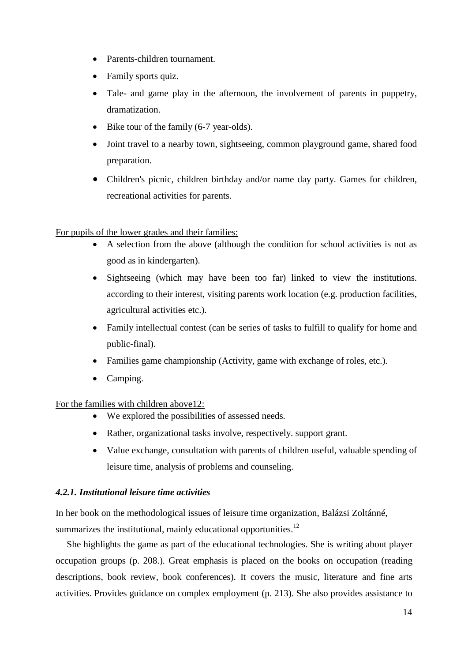- Parents-children tournament.
- Family sports quiz.
- Tale- and game play in the afternoon, the involvement of parents in puppetry, dramatization.
- Bike tour of the family (6-7 year-olds).
- Joint travel to a nearby town, sightseeing, common playground game, shared food preparation.
- Children's picnic, children birthday and/or name day party. Games for children, recreational activities for parents.

## For pupils of the lower grades and their families:

- A selection from the above (although the condition for school activities is not as good as in kindergarten).
- Sightseeing (which may have been too far) linked to view the institutions. according to their interest, visiting parents work location (e.g. production facilities, agricultural activities etc.).
- Family intellectual contest (can be series of tasks to fulfill to qualify for home and public-final).
- Families game championship (Activity, game with exchange of roles, etc.).
- Camping.

## For the families with children above12:

- We explored the possibilities of assessed needs.
- Rather, organizational tasks involve, respectively. support grant.
- Value exchange, consultation with parents of children useful, valuable spending of leisure time, analysis of problems and counseling.

## *4.2.1. Institutional leisure time activities*

In her book on the methodological issues of leisure time organization, Balázsi Zoltánné, summarizes the institutional, mainly educational opportunities. $^{12}$ 

She highlights the game as part of the educational technologies. She is writing about player occupation groups (p. 208.). Great emphasis is placed on the books on occupation (reading descriptions, book review, book conferences). It covers the music, literature and fine arts activities. Provides guidance on complex employment (p. 213). She also provides assistance to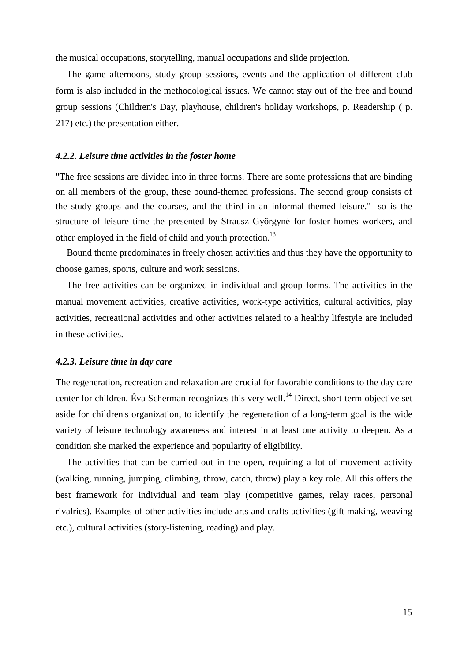the musical occupations, storytelling, manual occupations and slide projection.

The game afternoons, study group sessions, events and the application of different club form is also included in the methodological issues. We cannot stay out of the free and bound group sessions (Children's Day, playhouse, children's holiday workshops, p. Readership ( p. 217) etc.) the presentation either.

## *4.2.2. Leisure time activities in the foster home*

"The free sessions are divided into in three forms. There are some professions that are binding on all members of the group, these bound-themed professions. The second group consists of the study groups and the courses, and the third in an informal themed leisure."- so is the structure of leisure time the presented by Strausz Györgyné for foster homes workers, and other employed in the field of child and youth protection.<sup>13</sup>

Bound theme predominates in freely chosen activities and thus they have the opportunity to choose games, sports, culture and work sessions.

The free activities can be organized in individual and group forms. The activities in the manual movement activities, creative activities, work-type activities, cultural activities, play activities, recreational activities and other activities related to a healthy lifestyle are included in these activities.

#### *4.2.3. Leisure time in day care*

The regeneration, recreation and relaxation are crucial for favorable conditions to the day care center for children. Éva Scherman recognizes this very well.<sup>14</sup> Direct, short-term objective set aside for children's organization, to identify the regeneration of a long-term goal is the wide variety of leisure technology awareness and interest in at least one activity to deepen. As a condition she marked the experience and popularity of eligibility.

The activities that can be carried out in the open, requiring a lot of movement activity (walking, running, jumping, climbing, throw, catch, throw) play a key role. All this offers the best framework for individual and team play (competitive games, relay races, personal rivalries). Examples of other activities include arts and crafts activities (gift making, weaving etc.), cultural activities (story-listening, reading) and play.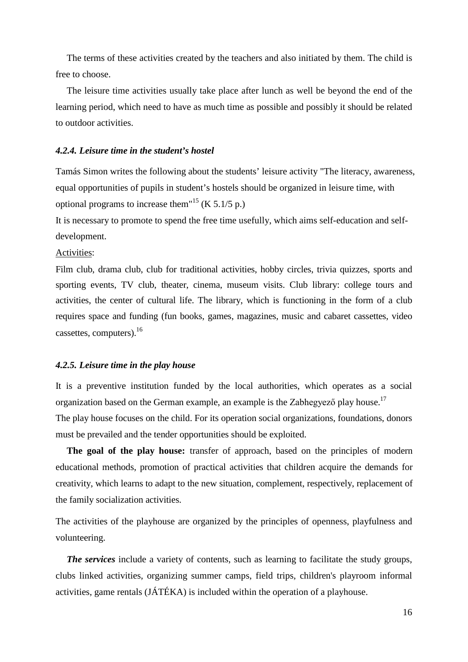The terms of these activities created by the teachers and also initiated by them. The child is free to choose.

The leisure time activities usually take place after lunch as well be beyond the end of the learning period, which need to have as much time as possible and possibly it should be related to outdoor activities.

## *4.2.4. Leisure time in the student's hostel*

Tamás Simon writes the following about the students' leisure activity "The literacy, awareness, equal opportunities of pupils in student's hostels should be organized in leisure time, with optional programs to increase them<sup> $15$ </sup> (K 5.1/5 p.)

It is necessary to promote to spend the free time usefully, which aims self-education and selfdevelopment.

## Activities:

Film club, drama club, club for traditional activities, hobby circles, trivia quizzes, sports and sporting events, TV club, theater, cinema, museum visits. Club library: college tours and activities, the center of cultural life. The library, which is functioning in the form of a club requires space and funding (fun books, games, magazines, music and cabaret cassettes, video cassettes, computers). $16$ 

#### *4.2.5. Leisure time in the play house*

It is a preventive institution funded by the local authorities, which operates as a social organization based on the German example, an example is the Zabhegyező play house.<sup>17</sup> The play house focuses on the child. For its operation social organizations, foundations, donors must be prevailed and the tender opportunities should be exploited.

**The goal of the play house:** transfer of approach, based on the principles of modern educational methods, promotion of practical activities that children acquire the demands for creativity, which learns to adapt to the new situation, complement, respectively, replacement of the family socialization activities.

The activities of the playhouse are organized by the principles of openness, playfulness and volunteering.

*The services* include a variety of contents, such as learning to facilitate the study groups, clubs linked activities, organizing summer camps, field trips, children's playroom informal activities, game rentals (JÁTÉKA) is included within the operation of a playhouse.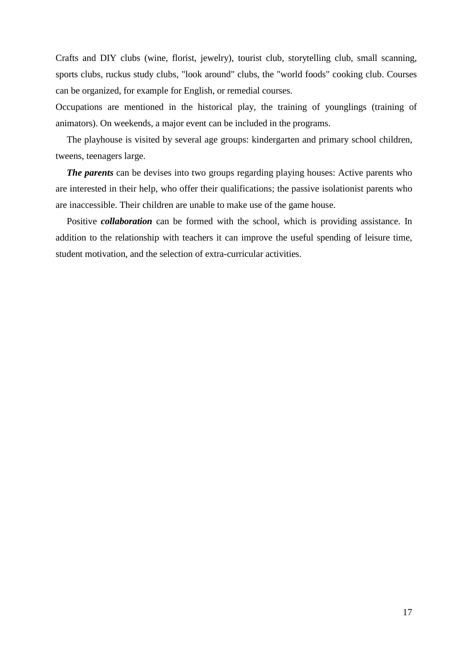Crafts and DIY clubs (wine, florist, jewelry), tourist club, storytelling club, small scanning, sports clubs, ruckus study clubs, "look around" clubs, the "world foods" cooking club. Courses can be organized, for example for English, or remedial courses.

Occupations are mentioned in the historical play, the training of younglings (training of animators). On weekends, a major event can be included in the programs.

The playhouse is visited by several age groups: kindergarten and primary school children, tweens, teenagers large.

*The parents* can be devises into two groups regarding playing houses: Active parents who are interested in their help, who offer their qualifications; the passive isolationist parents who are inaccessible. Their children are unable to make use of the game house.

Positive *collaboration* can be formed with the school, which is providing assistance. In addition to the relationship with teachers it can improve the useful spending of leisure time, student motivation, and the selection of extra-curricular activities.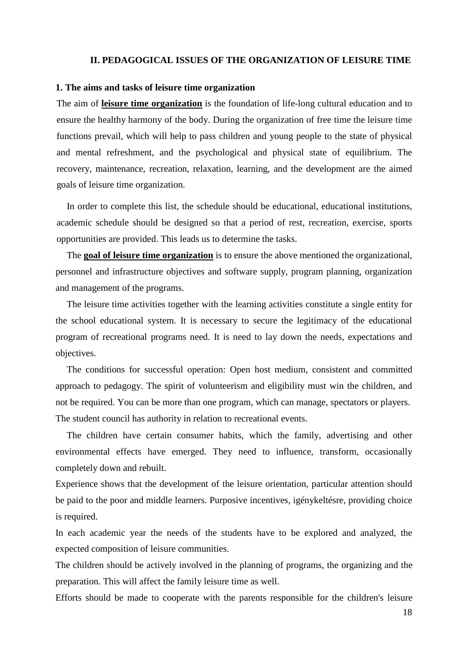#### **II. PEDAGOGICAL ISSUES OF THE ORGANIZATION OF LEISURE TIME**

#### **1. The aims and tasks of leisure time organization**

The aim of **leisure time organization** is the foundation of life-long cultural education and to ensure the healthy harmony of the body. During the organization of free time the leisure time functions prevail, which will help to pass children and young people to the state of physical and mental refreshment, and the psychological and physical state of equilibrium. The recovery, maintenance, recreation, relaxation, learning, and the development are the aimed goals of leisure time organization.

In order to complete this list, the schedule should be educational, educational institutions, academic schedule should be designed so that a period of rest, recreation, exercise, sports opportunities are provided. This leads us to determine the tasks.

The **goal of leisure time organization** is to ensure the above mentioned the organizational, personnel and infrastructure objectives and software supply, program planning, organization and management of the programs.

The leisure time activities together with the learning activities constitute a single entity for the school educational system. It is necessary to secure the legitimacy of the educational program of recreational programs need. It is need to lay down the needs, expectations and objectives.

The conditions for successful operation: Open host medium, consistent and committed approach to pedagogy. The spirit of volunteerism and eligibility must win the children, and not be required. You can be more than one program, which can manage, spectators or players. The student council has authority in relation to recreational events.

The children have certain consumer habits, which the family, advertising and other environmental effects have emerged. They need to influence, transform, occasionally completely down and rebuilt.

Experience shows that the development of the leisure orientation, particular attention should be paid to the poor and middle learners. Purposive incentives, igénykeltésre, providing choice is required.

In each academic year the needs of the students have to be explored and analyzed, the expected composition of leisure communities.

The children should be actively involved in the planning of programs, the organizing and the preparation. This will affect the family leisure time as well.

Efforts should be made to cooperate with the parents responsible for the children's leisure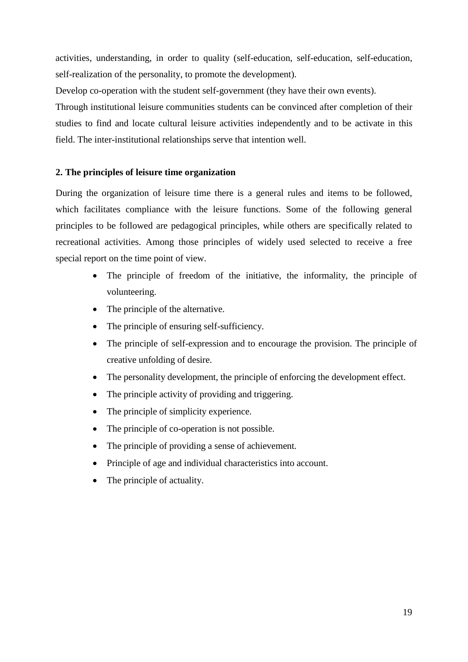activities, understanding, in order to quality (self-education, self-education, self-education, self-realization of the personality, to promote the development).

Develop co-operation with the student self-government (they have their own events).

Through institutional leisure communities students can be convinced after completion of their studies to find and locate cultural leisure activities independently and to be activate in this field. The inter-institutional relationships serve that intention well.

# **2. The principles of leisure time organization**

During the organization of leisure time there is a general rules and items to be followed, which facilitates compliance with the leisure functions. Some of the following general principles to be followed are pedagogical principles, while others are specifically related to recreational activities. Among those principles of widely used selected to receive a free special report on the time point of view.

- The principle of freedom of the initiative, the informality, the principle of volunteering.
- The principle of the alternative.
- The principle of ensuring self-sufficiency.
- The principle of self-expression and to encourage the provision. The principle of creative unfolding of desire.
- The personality development, the principle of enforcing the development effect.
- The principle activity of providing and triggering.
- The principle of simplicity experience.
- The principle of co-operation is not possible.
- The principle of providing a sense of achievement.
- Principle of age and individual characteristics into account.
- The principle of actuality.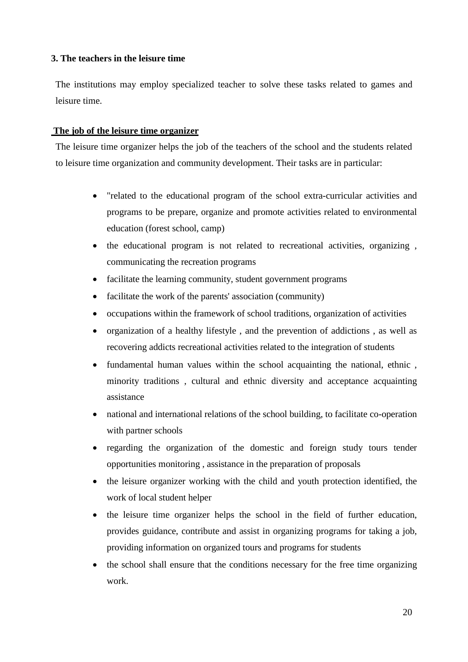# **3. The teachers in the leisure time**

The institutions may employ specialized teacher to solve these tasks related to games and leisure time.

## **The job of the leisure time organizer**

The leisure time organizer helps the job of the teachers of the school and the students related to leisure time organization and community development. Their tasks are in particular:

- "related to the educational program of the school extra-curricular activities and programs to be prepare, organize and promote activities related to environmental education (forest school, camp)
- the educational program is not related to recreational activities, organizing , communicating the recreation programs
- facilitate the learning community, student government programs
- facilitate the work of the parents' association (community)
- occupations within the framework of school traditions, organization of activities
- organization of a healthy lifestyle , and the prevention of addictions , as well as recovering addicts recreational activities related to the integration of students
- fundamental human values within the school acquainting the national, ethnic , minority traditions , cultural and ethnic diversity and acceptance acquainting assistance
- national and international relations of the school building, to facilitate co-operation with partner schools
- regarding the organization of the domestic and foreign study tours tender opportunities monitoring , assistance in the preparation of proposals
- the leisure organizer working with the child and youth protection identified, the work of local student helper
- the leisure time organizer helps the school in the field of further education, provides guidance, contribute and assist in organizing programs for taking a job, providing information on organized tours and programs for students
- the school shall ensure that the conditions necessary for the free time organizing work.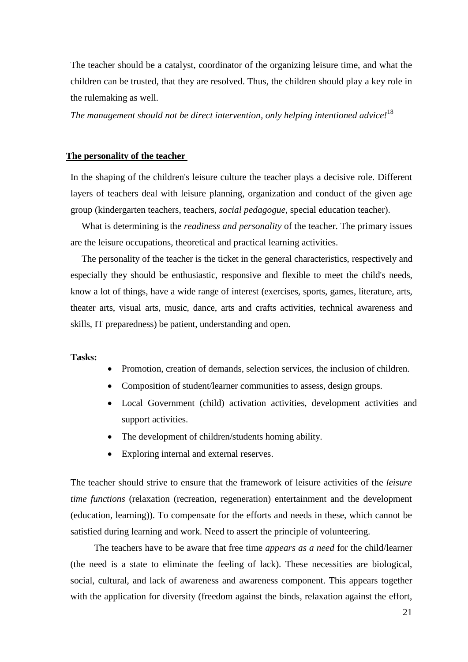The teacher should be a catalyst, coordinator of the organizing leisure time, and what the children can be trusted, that they are resolved. Thus, the children should play a key role in the rulemaking as well.

*The management should not be direct intervention, only helping intentioned advice!* 18

#### **The personality of the teacher**

In the shaping of the children's leisure culture the teacher plays a decisive role. Different layers of teachers deal with leisure planning, organization and conduct of the given age group (kindergarten teachers, teachers, *social pedagogue*, special education teacher).

What is determining is the *readiness and personality* of the teacher. The primary issues are the leisure occupations, theoretical and practical learning activities.

The personality of the teacher is the ticket in the general characteristics, respectively and especially they should be enthusiastic, responsive and flexible to meet the child's needs, know a lot of things, have a wide range of interest (exercises, sports, games, literature, arts, theater arts, visual arts, music, dance, arts and crafts activities, technical awareness and skills, IT preparedness) be patient, understanding and open.

#### **Tasks:**

- Promotion, creation of demands, selection services, the inclusion of children.
- Composition of student/learner communities to assess, design groups.
- Local Government (child) activation activities, development activities and support activities.
- The development of children/students homing ability.
- Exploring internal and external reserves.

The teacher should strive to ensure that the framework of leisure activities of the *leisure time functions* (relaxation (recreation, regeneration) entertainment and the development (education, learning)). To compensate for the efforts and needs in these, which cannot be satisfied during learning and work. Need to assert the principle of volunteering.

The teachers have to be aware that free time *appears as a need* for the child/learner (the need is a state to eliminate the feeling of lack). These necessities are biological, social, cultural, and lack of awareness and awareness component. This appears together with the application for diversity (freedom against the binds, relaxation against the effort,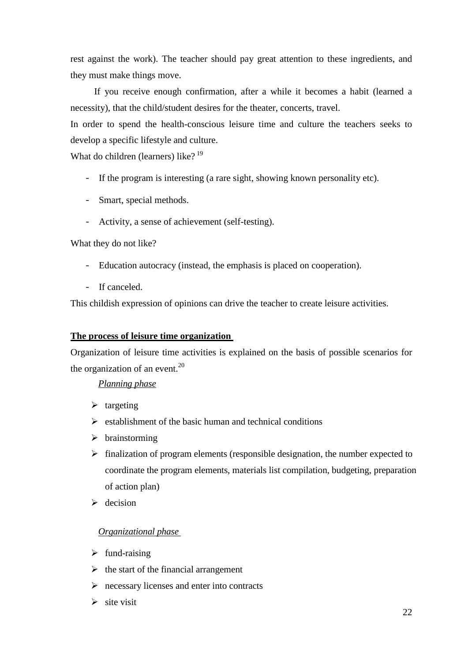rest against the work). The teacher should pay great attention to these ingredients, and they must make things move.

If you receive enough confirmation, after a while it becomes a habit (learned a necessity), that the child/student desires for the theater, concerts, travel.

In order to spend the health-conscious leisure time and culture the teachers seeks to develop a specific lifestyle and culture.

What do children (learners) like?  $19$ 

- If the program is interesting (a rare sight, showing known personality etc).
- Smart, special methods.
- Activity, a sense of achievement (self-testing).

What they do not like?

- Education autocracy (instead, the emphasis is placed on cooperation).
- If canceled.

This childish expression of opinions can drive the teacher to create leisure activities.

#### **The process of leisure time organization**

Organization of leisure time activities is explained on the basis of possible scenarios for the organization of an event. $^{20}$ 

## *Planning phase*

- $\triangleright$  targeting
- $\triangleright$  establishment of the basic human and technical conditions
- $\triangleright$  brainstorming
- $\triangleright$  finalization of program elements (responsible designation, the number expected to coordinate the program elements, materials list compilation, budgeting, preparation of action plan)
- $\triangleright$  decision

#### *Organizational phase*

- $\triangleright$  fund-raising
- $\triangleright$  the start of the financial arrangement
- $\triangleright$  necessary licenses and enter into contracts
- $\triangleright$  site visit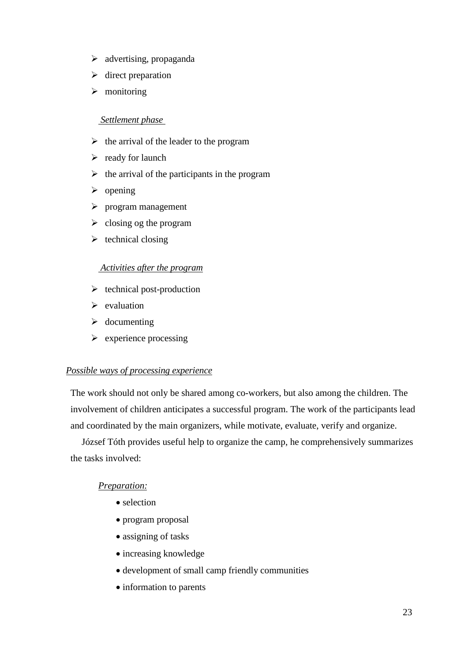- $\triangleright$  advertising, propaganda
- $\triangleright$  direct preparation
- $\triangleright$  monitoring

# *Settlement phase*

- $\triangleright$  the arrival of the leader to the program
- $\triangleright$  ready for launch
- $\triangleright$  the arrival of the participants in the program
- $\triangleright$  opening
- $\triangleright$  program management
- $\triangleright$  closing og the program
- $\triangleright$  technical closing

## *Activities after the program*

- $\triangleright$  technical post-production
- $\triangleright$  evaluation
- $\triangleright$  documenting
- $\triangleright$  experience processing

## *Possible ways of processing experience*

The work should not only be shared among co-workers, but also among the children. The involvement of children anticipates a successful program. The work of the participants lead and coordinated by the main organizers, while motivate, evaluate, verify and organize.

József Tóth provides useful help to organize the camp, he comprehensively summarizes the tasks involved:

# *Preparation:*

- selection
- program proposal
- assigning of tasks
- increasing knowledge
- development of small camp friendly communities
- information to parents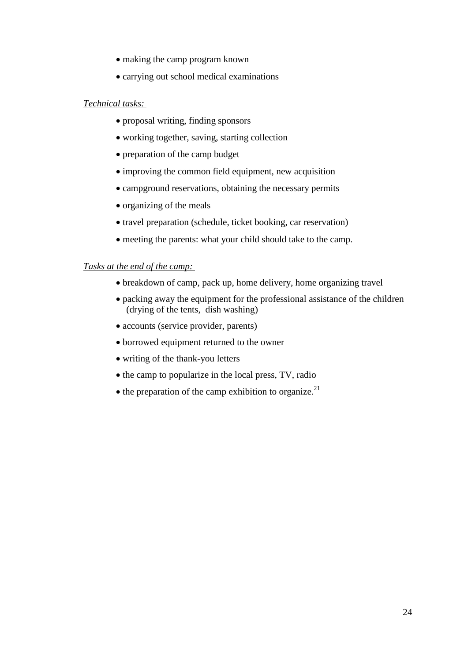- making the camp program known
- carrying out school medical examinations

# *Technical tasks:*

- proposal writing, finding sponsors
- working together, saving, starting collection
- preparation of the camp budget
- improving the common field equipment, new acquisition
- campground reservations, obtaining the necessary permits
- organizing of the meals
- travel preparation (schedule, ticket booking, car reservation)
- meeting the parents: what your child should take to the camp.

# *Tasks at the end of the camp:*

- breakdown of camp, pack up, home delivery, home organizing travel
- packing away the equipment for the professional assistance of the children (drying of the tents, dish washing)
- accounts (service provider, parents)
- borrowed equipment returned to the owner
- writing of the thank-you letters
- the camp to popularize in the local press, TV, radio
- $\bullet$  the preparation of the camp exhibition to organize.<sup>21</sup>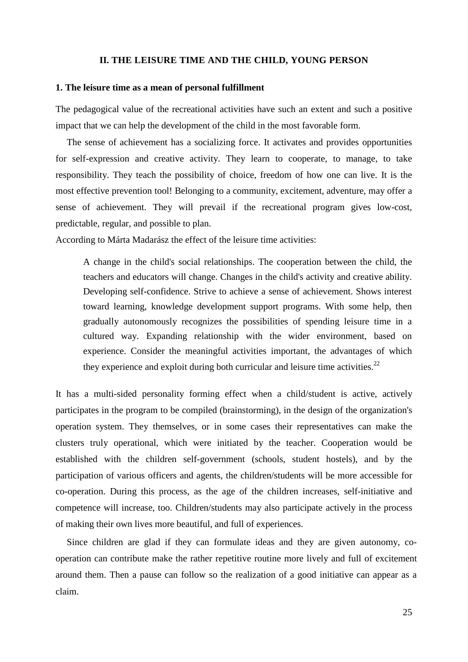#### **II. THE LEISURE TIME AND THE CHILD, YOUNG PERSON**

#### **1. The leisure time as a mean of personal fulfillment**

The pedagogical value of the recreational activities have such an extent and such a positive impact that we can help the development of the child in the most favorable form.

The sense of achievement has a socializing force. It activates and provides opportunities for self-expression and creative activity. They learn to cooperate, to manage, to take responsibility. They teach the possibility of choice, freedom of how one can live. It is the most effective prevention tool! Belonging to a community, excitement, adventure, may offer a sense of achievement. They will prevail if the recreational program gives low-cost, predictable, regular, and possible to plan.

According to Márta Madarász the effect of the leisure time activities:

A change in the child's social relationships. The cooperation between the child, the teachers and educators will change. Changes in the child's activity and creative ability. Developing self-confidence. Strive to achieve a sense of achievement. Shows interest toward learning, knowledge development support programs. With some help, then gradually autonomously recognizes the possibilities of spending leisure time in a cultured way. Expanding relationship with the wider environment, based on experience. Consider the meaningful activities important, the advantages of which they experience and exploit during both curricular and leisure time activities.<sup>22</sup>

It has a multi-sided personality forming effect when a child/student is active, actively participates in the program to be compiled (brainstorming), in the design of the organization's operation system. They themselves, or in some cases their representatives can make the clusters truly operational, which were initiated by the teacher. Cooperation would be established with the children self-government (schools, student hostels), and by the participation of various officers and agents, the children/students will be more accessible for co-operation. During this process, as the age of the children increases, self-initiative and competence will increase, too. Children/students may also participate actively in the process of making their own lives more beautiful, and full of experiences.

Since children are glad if they can formulate ideas and they are given autonomy, cooperation can contribute make the rather repetitive routine more lively and full of excitement around them. Then a pause can follow so the realization of a good initiative can appear as a claim.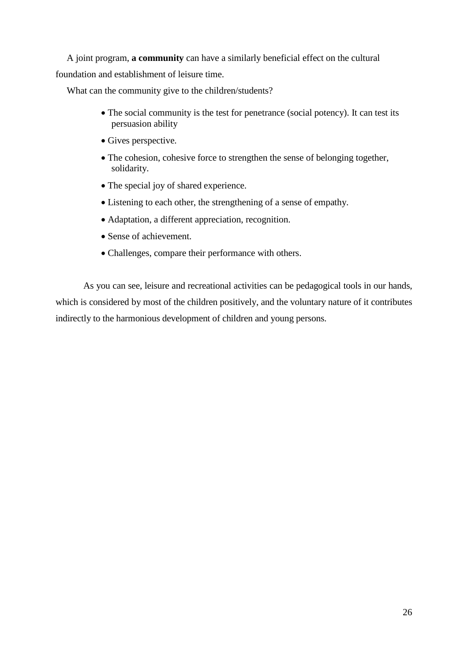A joint program, **a community** can have a similarly beneficial effect on the cultural foundation and establishment of leisure time.

What can the community give to the children/students?

- The social community is the test for penetrance (social potency). It can test its persuasion ability
- Gives perspective.
- The cohesion, cohesive force to strengthen the sense of belonging together, solidarity.
- The special joy of shared experience.
- Listening to each other, the strengthening of a sense of empathy.
- Adaptation, a different appreciation, recognition.
- Sense of achievement.
- Challenges, compare their performance with others.

As you can see, leisure and recreational activities can be pedagogical tools in our hands, which is considered by most of the children positively, and the voluntary nature of it contributes indirectly to the harmonious development of children and young persons.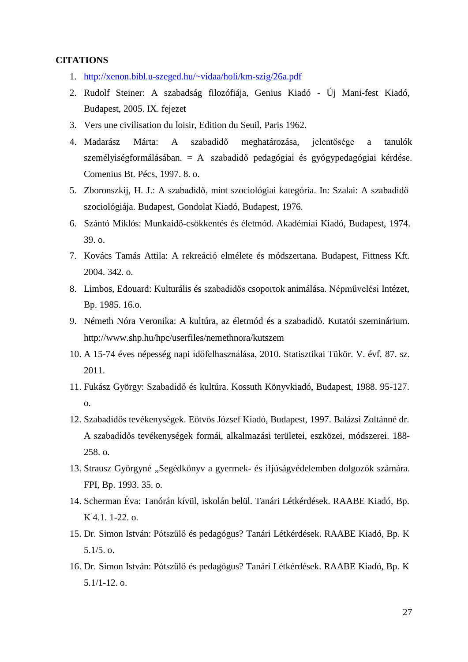# **CITATIONS**

- 1. [http://xenon.bibl.u-szeged.hu/~vidaa/holi/km-szig/26a.pdf](http://xenon.bibl.u-szeged.hu/%7Evidaa/holi/km-szig/26a.pdf)
- 2. Rudolf Steiner: A szabadság filozófiája, Genius Kiadó Új Mani-fest Kiadó, Budapest, 2005. IX. fejezet
- 3. Vers une civilisation du loisir, Edition du Seuil, Paris 1962.
- 4. Madarász Márta: A szabadidő meghatározása, jelentősége a tanulók személyiségformálásában. = A szabadidő pedagógiai és gyógypedagógiai kérdése. Comenius Bt. Pécs, 1997. 8. o.
- 5. Zboronszkij, H. J.: A szabadidő, mint szociológiai kategória. In: Szalai: A szabadidő szociológiája. Budapest, Gondolat Kiadó, Budapest, 1976.
- 6. Szántó Miklós: Munkaidő-csökkentés és életmód. Akadémiai Kiadó, Budapest, 1974. 39. o.
- 7. Kovács Tamás Attila: A rekreáció elmélete és módszertana. Budapest, Fittness Kft. 2004. 342. o.
- 8. Limbos, Edouard: Kulturális és szabadidős csoportok animálása. Népművelési Intézet, Bp. 1985. 16.o.
- 9. Németh Nóra Veronika: A kultúra, az életmód és a szabadidő. Kutatói szeminárium. [http://www.shp.hu/hpc/userfiles/nemethnora/kutszem](http://www.shp.hu/hpc/userfiles/nemethnora/kutszem_dolgozat_1%5B1%5D.pdf)
- 10. A 15-74 éves népesség napi időfelhasználása, 2010. Statisztikai Tükör. V. évf. 87. sz. 2011.
- 11. Fukász György: Szabadidő és kultúra. Kossuth Könyvkiadó, Budapest, 1988. 95-127. o.
- 12. Szabadidős tevékenységek. Eötvös József Kiadó, Budapest, 1997. Balázsi Zoltánné dr. A szabadidős tevékenységek formái, alkalmazási területei, eszközei, módszerei. 188- 258. o.
- 13. Strausz Györgyné "Segédkönyv a gyermek- és ifjúságvédelemben dolgozók számára. FPI, Bp. 1993. 35. o.
- 14. Scherman Éva: Tanórán kívül, iskolán belül. Tanári Létkérdések. RAABE Kiadó, Bp. K 4.1. 1-22. o.
- 15. Dr. Simon István: Pótszülő és pedagógus? Tanári Létkérdések. RAABE Kiadó, Bp. K 5.1/5. o.
- 16. Dr. Simon István: Pótszülő és pedagógus? Tanári Létkérdések. RAABE Kiadó, Bp. K 5.1/1-12. o.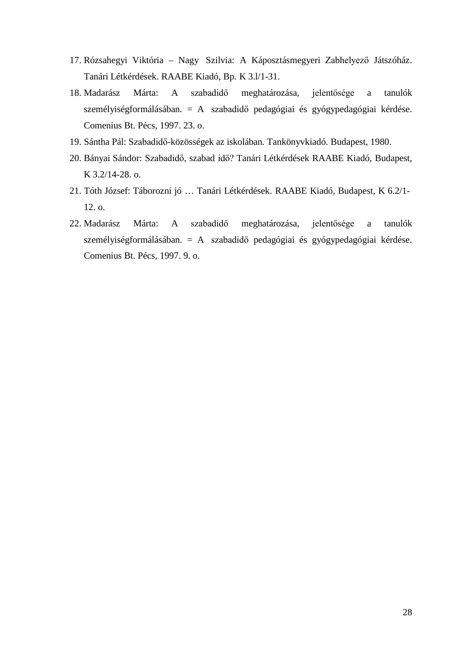- 17. Rózsahegyi Viktória Nagy Szilvia: A Káposztásmegyeri Zabhelyező Játszóház. Tanári Létkérdések. RAABE Kiadó, Bp. K 3.l/1-31.
- 18. Madarász Márta: A szabadidő meghatározása, jelentősége a tanulók személyiségformálásában. = A szabadidő pedagógiai és gyógypedagógiai kérdése. Comenius Bt. Pécs, 1997. 23. o.
- 19. Sántha Pál: Szabadidő-közösségek az iskolában. Tankönyvkiadó. Budapest, 1980.
- 20. Bányai Sándor: Szabadidő, szabad idő? Tanári Létkérdések RAABE Kiadó, Budapest, K 3.2/14-28. o.
- 21. Tóth József: Táborozni jó … Tanári Létkérdések. RAABE Kiadó, Budapest, K 6.2/1- 12. o.
- 22. Madarász Márta: A szabadidő meghatározása, jelentősége a tanulók személyiségformálásában. = A szabadidő pedagógiai és gyógypedagógiai kérdése. Comenius Bt. Pécs, 1997. 9. o.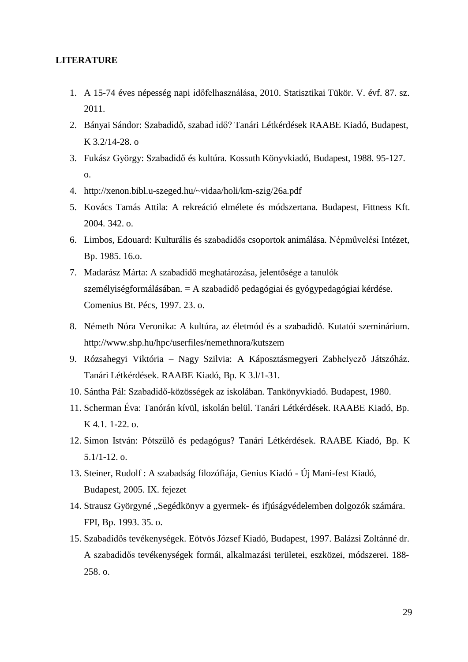## **LITERATURE**

- 1. A 15-74 éves népesség napi időfelhasználása, 2010. Statisztikai Tükör. V. évf. 87. sz. 2011.
- 2. Bányai Sándor: Szabadidő, szabad idő? Tanári Létkérdések RAABE Kiadó, Budapest, K 3.2/14-28. o
- 3. Fukász György: Szabadidő és kultúra. Kossuth Könyvkiadó, Budapest, 1988. 95-127. o.
- 4. [http://xenon.bibl.u-szeged.hu/~vidaa/holi/km-szig/26a.pdf](http://xenon.bibl.u-szeged.hu/%7Evidaa/holi/km-szig/26a.pdf)
- 5. Kovács Tamás Attila: A rekreáció elmélete és módszertana. Budapest, Fittness Kft. 2004. 342. o.
- 6. Limbos, Edouard: Kulturális és szabadidős csoportok animálása. Népművelési Intézet, Bp. 1985. 16.o.
- 7. Madarász Márta: A szabadidő meghatározása, jelentősége a tanulók személyiségformálásában. = A szabadidő pedagógiai és gyógypedagógiai kérdése. Comenius Bt. Pécs, 1997. 23. o.
- 8. Németh Nóra Veronika: A kultúra, az életmód és a szabadidő. Kutatói szeminárium. [http://www.shp.hu/hpc/userfiles/nemethnora/kutszem](http://www.shp.hu/hpc/userfiles/nemethnora/kutszem_dolgozat_1%5B1%5D.pdf)
- 9. Rózsahegyi Viktória Nagy Szilvia: A Káposztásmegyeri Zabhelyező Játszóház. Tanári Létkérdések. RAABE Kiadó, Bp. K 3.l/1-31.
- 10. Sántha Pál: Szabadidő-közösségek az iskolában. Tankönyvkiadó. Budapest, 1980.
- 11. Scherman Éva: Tanórán kívül, iskolán belül. Tanári Létkérdések. RAABE Kiadó, Bp. K 4.1. 1-22. o.
- 12. Simon István: Pótszülő és pedagógus? Tanári Létkérdések. RAABE Kiadó, Bp. K 5.1/1-12. o.
- 13. Steiner, Rudolf : A szabadság filozófiája, Genius Kiadó Új Mani-fest Kiadó, Budapest, 2005. IX. fejezet
- 14. Strausz Györgyné "Segédkönyv a gyermek- és ifjúságvédelemben dolgozók számára. FPI, Bp. 1993. 35. o.
- 15. Szabadidős tevékenységek. Eötvös József Kiadó, Budapest, 1997. Balázsi Zoltánné dr. A szabadidős tevékenységek formái, alkalmazási területei, eszközei, módszerei. 188- 258. o.